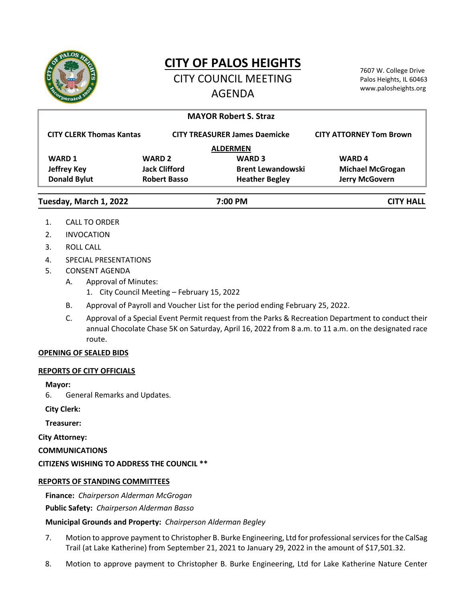

# **CITY OF PALOS HEIGHTS**

CITY COUNCIL MEETING AGENDA

7607 W. College Drive Palos Heights, IL 60463 www.palosheights.org

|                                 |                                      | <b>MAYOR Robert S. Straz</b> |                                |
|---------------------------------|--------------------------------------|------------------------------|--------------------------------|
|                                 |                                      |                              |                                |
| <b>CITY CLERK Thomas Kantas</b> | <b>CITY TREASURER James Daemicke</b> |                              | <b>CITY ATTORNEY Tom Brown</b> |
| <b>ALDERMEN</b>                 |                                      |                              |                                |
| <b>WARD 1</b>                   | <b>WARD 2</b>                        | <b>WARD 3</b>                | <b>WARD4</b>                   |
| <b>Jeffrey Key</b>              | <b>Jack Clifford</b>                 | <b>Brent Lewandowski</b>     | <b>Michael McGrogan</b>        |
| <b>Donald Bylut</b>             | <b>Robert Basso</b>                  | <b>Heather Begley</b>        | <b>Jerry McGovern</b>          |
| Tuesday, March 1, 2022          |                                      | 7:00 PM                      | <b>CITY HALL</b>               |

- 1. CALL TO ORDER
- 2. INVOCATION
- 3. ROLL CALL
- 4. SPECIAL PRESENTATIONS
- 5. CONSENT AGENDA
	- A. Approval of Minutes:
		- 1. City Council Meeting February 15, 2022
	- B. Approval of Payroll and Voucher List for the period ending February 25, 2022.
	- C. Approval of a Special Event Permit request from the Parks & Recreation Department to conduct their annual Chocolate Chase 5K on Saturday, April 16, 2022 from 8 a.m. to 11 a.m. on the designated race route.

## **OPENING OF SEALED BIDS**

## **REPORTS OF CITY OFFICIALS**

## **Mayor:**

6. General Remarks and Updates.

**City Clerk:**

**Treasurer:**

**City Attorney:**

**COMMUNICATIONS**

**CITIZENS WISHING TO ADDRESS THE COUNCIL \*\***

# **REPORTS OF STANDING COMMITTEES**

**Finance:** *Chairperson Alderman McGrogan*

**Public Safety:** *Chairperson Alderman Basso*

# **Municipal Grounds and Property:** *Chairperson Alderman Begley*

- 7. Motion to approve payment to Christopher B. Burke Engineering, Ltd for professional services for the CalSag Trail (at Lake Katherine) from September 21, 2021 to January 29, 2022 in the amount of \$17,501.32.
- 8. Motion to approve payment to Christopher B. Burke Engineering, Ltd for Lake Katherine Nature Center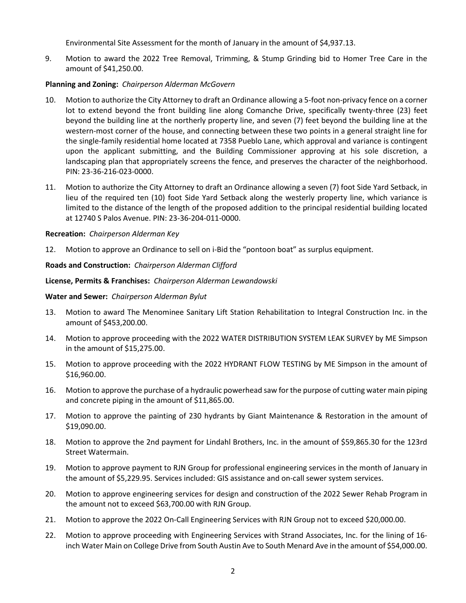Environmental Site Assessment for the month of January in the amount of \$4,937.13.

9. Motion to award the 2022 Tree Removal, Trimming, & Stump Grinding bid to Homer Tree Care in the amount of \$41,250.00.

# **Planning and Zoning:** *Chairperson Alderman McGovern*

- 10. Motion to authorize the City Attorney to draft an Ordinance allowing a 5-foot non-privacy fence on a corner lot to extend beyond the front building line along Comanche Drive, specifically twenty-three (23) feet beyond the building line at the northerly property line, and seven (7) feet beyond the building line at the western-most corner of the house, and connecting between these two points in a general straight line for the single-family residential home located at 7358 Pueblo Lane, which approval and variance is contingent upon the applicant submitting, and the Building Commissioner approving at his sole discretion, a landscaping plan that appropriately screens the fence, and preserves the character of the neighborhood. PIN: 23-36-216-023-0000.
- 11. Motion to authorize the City Attorney to draft an Ordinance allowing a seven (7) foot Side Yard Setback, in lieu of the required ten (10) foot Side Yard Setback along the westerly property line, which variance is limited to the distance of the length of the proposed addition to the principal residential building located at 12740 S Palos Avenue. PIN: 23-36-204-011-0000.

# **Recreation:** *Chairperson Alderman Key*

12. Motion to approve an Ordinance to sell on i-Bid the "pontoon boat" as surplus equipment.

# **Roads and Construction:** *Chairperson Alderman Clifford*

## **License, Permits & Franchises:** *Chairperson Alderman Lewandowski*

## **Water and Sewer:** *Chairperson Alderman Bylut*

- 13. Motion to award The Menominee Sanitary Lift Station Rehabilitation to Integral Construction Inc. in the amount of \$453,200.00.
- 14. Motion to approve proceeding with the 2022 WATER DISTRIBUTION SYSTEM LEAK SURVEY by ME Simpson in the amount of \$15,275.00.
- 15. Motion to approve proceeding with the 2022 HYDRANT FLOW TESTING by ME Simpson in the amount of \$16,960.00.
- 16. Motion to approve the purchase of a hydraulic powerhead saw for the purpose of cutting water main piping and concrete piping in the amount of \$11,865.00.
- 17. Motion to approve the painting of 230 hydrants by Giant Maintenance & Restoration in the amount of \$19,090.00.
- 18. Motion to approve the 2nd payment for Lindahl Brothers, Inc. in the amount of \$59,865.30 for the 123rd Street Watermain.
- 19. Motion to approve payment to RJN Group for professional engineering services in the month of January in the amount of \$5,229.95. Services included: GIS assistance and on‐call sewer system services.
- 20. Motion to approve engineering services for design and construction of the 2022 Sewer Rehab Program in the amount not to exceed \$63,700.00 with RJN Group.
- 21. Motion to approve the 2022 On‐Call Engineering Services with RJN Group not to exceed \$20,000.00.
- 22. Motion to approve proceeding with Engineering Services with Strand Associates, Inc. for the lining of 16‐ inch Water Main on College Drive from South Austin Ave to South Menard Ave in the amount of \$54,000.00.